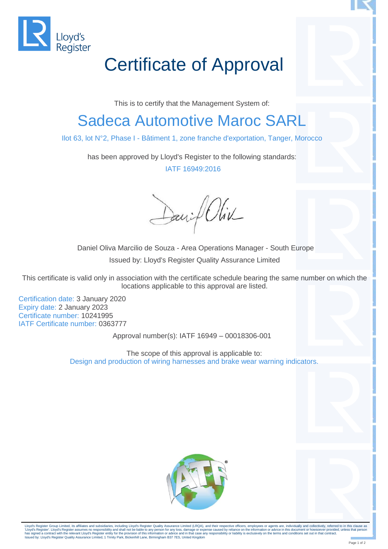

## Certificate of Approval

This is to certify that the Management System of:

## Sadeca Automotive Maroc SARL

Ilot 63, lot N°2, Phase I - Bâtiment 1, zone franche d'exportation, Tanger, Morocco

has been approved by Lloyd's Register to the following standards: IATF 16949:2016

Daniel Oliv

Daniel Oliva Marcilio de Souza - Area Operations Manager - South Europe Issued by: Lloyd's Register Quality Assurance Limited

This certificate is valid only in association with the certificate schedule bearing the same number on which the locations applicable to this approval are listed.

Certification date: 3 January 2020 Expiry date: 2 January 2023 Certificate number: 10241995 IATF Certificate number: 0363777

Approval number(s): IATF 16949 – 00018306-001

The scope of this approval is applicable to: Design and production of wiring harnesses and brake wear warning indicators.



Lloyd's Register Group Limited, its affiliates and subsidiaries, including Lloyd's Register Quality Assurance Limited (LRQA), and their respective officers, employees or agents are, individually and collectively, referred 'Lloyd's Register'. Lloyd's Register assumes no responsibility and shall not be liable to any person for any loss, damage or expense caused by reliance on the information or advice in this document or howsoever provided, u